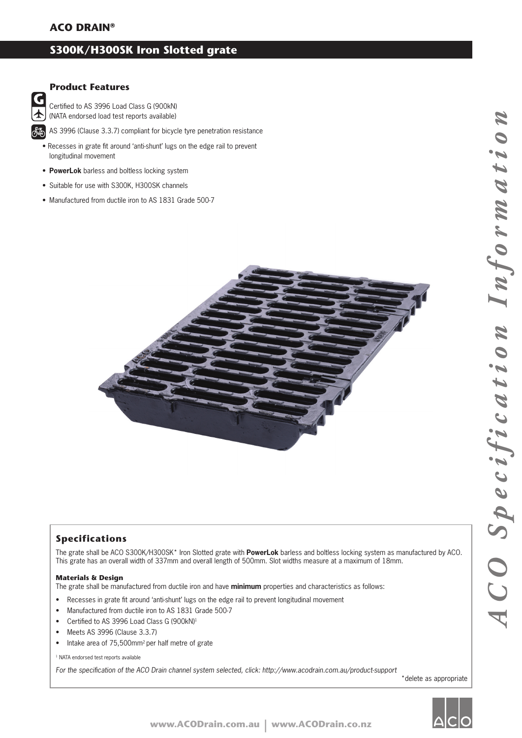# **S300K/H300SK Iron Slotted grate**

### **Product Features**

G ተ 極

Certified to AS 3996 Load Class G (900kN) (NATA endorsed load test reports available)

AS 3996 (Clause 3.3.7) compliant for bicycle tyre penetration resistance

• Recesses in grate fit around 'anti-shunt' lugs on the edge rail to prevent longitudinal movement

- **PowerLok** barless and boltless locking system
- Suitable for use with S300K, H300SK channels
- Manufactured from ductile iron to AS 1831 Grade 500-7



### **Specifications**

The grate shall be ACO S300K/H300SK\* Iron Slotted grate with **PowerLok** barless and boltless locking system as manufactured by ACO. This grate has an overall width of 337mm and overall length of 500mm. Slot widths measure at a maximum of 18mm.

#### **Materials & Design**

The grate shall be manufactured from ductile iron and have **minimum** properties and characteristics as follows:

- Recesses in grate fit around 'anti-shunt' lugs on the edge rail to prevent longitudinal movement
- Manufactured from ductile iron to AS 1831 Grade 500-7
- Certified to AS 3996 Load Class G (900kN)<sup>1</sup>
- Meets AS 3996 (Clause 3.3.7)
- Intake area of 75,500mm2 per half metre of grate

<sup>1</sup> NATA endorsed test reports available

For the specification of the ACO Drain channel system selected, click: http://www.acodrain.com.au/product-support

\*delete as appropriate